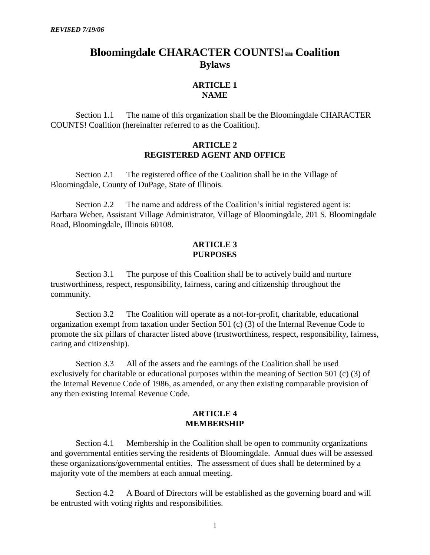# **Bloomingdale CHARACTER COUNTS!sm Coalition Bylaws**

# **ARTICLE 1 NAME**

Section 1.1 The name of this organization shall be the Bloomingdale CHARACTER COUNTS! Coalition (hereinafter referred to as the Coalition).

#### **ARTICLE 2 REGISTERED AGENT AND OFFICE**

Section 2.1 The registered office of the Coalition shall be in the Village of Bloomingdale, County of DuPage, State of Illinois.

Section 2.2 The name and address of the Coalition's initial registered agent is: Barbara Weber, Assistant Village Administrator, Village of Bloomingdale, 201 S. Bloomingdale Road, Bloomingdale, Illinois 60108.

# **ARTICLE 3 PURPOSES**

Section 3.1 The purpose of this Coalition shall be to actively build and nurture trustworthiness, respect, responsibility, fairness, caring and citizenship throughout the community.

Section 3.2 The Coalition will operate as a not-for-profit, charitable, educational organization exempt from taxation under Section 501 (c) (3) of the Internal Revenue Code to promote the six pillars of character listed above (trustworthiness, respect, responsibility, fairness, caring and citizenship).

Section 3.3 All of the assets and the earnings of the Coalition shall be used exclusively for charitable or educational purposes within the meaning of Section 501 (c) (3) of the Internal Revenue Code of 1986, as amended, or any then existing comparable provision of any then existing Internal Revenue Code.

#### **ARTICLE 4 MEMBERSHIP**

Section 4.1 Membership in the Coalition shall be open to community organizations and governmental entities serving the residents of Bloomingdale. Annual dues will be assessed these organizations/governmental entities. The assessment of dues shall be determined by a majority vote of the members at each annual meeting.

Section 4.2 A Board of Directors will be established as the governing board and will be entrusted with voting rights and responsibilities.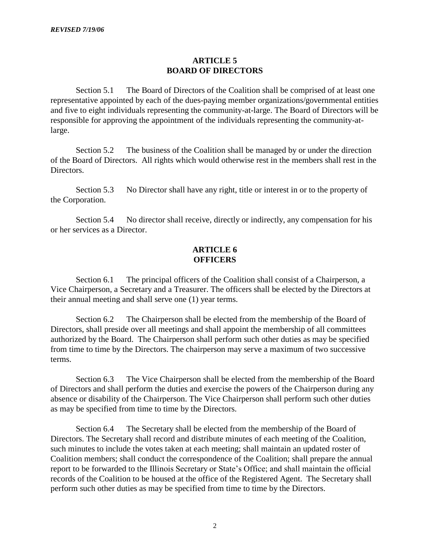# **ARTICLE 5 BOARD OF DIRECTORS**

Section 5.1 The Board of Directors of the Coalition shall be comprised of at least one representative appointed by each of the dues-paying member organizations/governmental entities and five to eight individuals representing the community-at-large. The Board of Directors will be responsible for approving the appointment of the individuals representing the community-atlarge.

Section 5.2 The business of the Coalition shall be managed by or under the direction of the Board of Directors. All rights which would otherwise rest in the members shall rest in the Directors.

Section 5.3 No Director shall have any right, title or interest in or to the property of the Corporation.

Section 5.4 No director shall receive, directly or indirectly, any compensation for his or her services as a Director.

# **ARTICLE 6 OFFICERS**

Section 6.1 The principal officers of the Coalition shall consist of a Chairperson, a Vice Chairperson, a Secretary and a Treasurer. The officers shall be elected by the Directors at their annual meeting and shall serve one (1) year terms.

Section 6.2 The Chairperson shall be elected from the membership of the Board of Directors, shall preside over all meetings and shall appoint the membership of all committees authorized by the Board. The Chairperson shall perform such other duties as may be specified from time to time by the Directors. The chairperson may serve a maximum of two successive terms.

Section 6.3 The Vice Chairperson shall be elected from the membership of the Board of Directors and shall perform the duties and exercise the powers of the Chairperson during any absence or disability of the Chairperson. The Vice Chairperson shall perform such other duties as may be specified from time to time by the Directors.

Section 6.4 The Secretary shall be elected from the membership of the Board of Directors. The Secretary shall record and distribute minutes of each meeting of the Coalition, such minutes to include the votes taken at each meeting; shall maintain an updated roster of Coalition members; shall conduct the correspondence of the Coalition; shall prepare the annual report to be forwarded to the Illinois Secretary or State's Office; and shall maintain the official records of the Coalition to be housed at the office of the Registered Agent. The Secretary shall perform such other duties as may be specified from time to time by the Directors.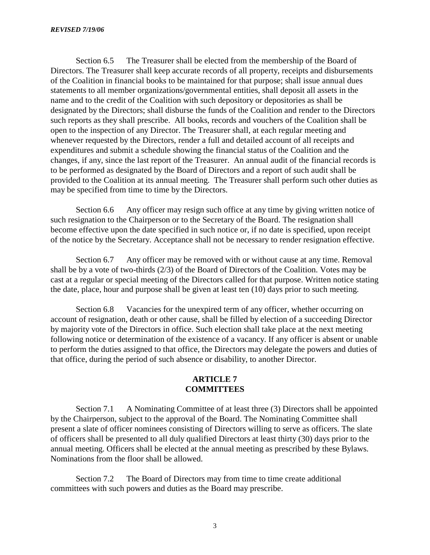Section 6.5 The Treasurer shall be elected from the membership of the Board of Directors. The Treasurer shall keep accurate records of all property, receipts and disbursements of the Coalition in financial books to be maintained for that purpose; shall issue annual dues statements to all member organizations/governmental entities, shall deposit all assets in the name and to the credit of the Coalition with such depository or depositories as shall be designated by the Directors; shall disburse the funds of the Coalition and render to the Directors such reports as they shall prescribe. All books, records and vouchers of the Coalition shall be open to the inspection of any Director. The Treasurer shall, at each regular meeting and whenever requested by the Directors, render a full and detailed account of all receipts and expenditures and submit a schedule showing the financial status of the Coalition and the changes, if any, since the last report of the Treasurer. An annual audit of the financial records is to be performed as designated by the Board of Directors and a report of such audit shall be provided to the Coalition at its annual meeting. The Treasurer shall perform such other duties as may be specified from time to time by the Directors.

Section 6.6 Any officer may resign such office at any time by giving written notice of such resignation to the Chairperson or to the Secretary of the Board. The resignation shall become effective upon the date specified in such notice or, if no date is specified, upon receipt of the notice by the Secretary. Acceptance shall not be necessary to render resignation effective.

Section 6.7 Any officer may be removed with or without cause at any time. Removal shall be by a vote of two-thirds (2/3) of the Board of Directors of the Coalition. Votes may be cast at a regular or special meeting of the Directors called for that purpose. Written notice stating the date, place, hour and purpose shall be given at least ten (10) days prior to such meeting.

Section 6.8 Vacancies for the unexpired term of any officer, whether occurring on account of resignation, death or other cause, shall be filled by election of a succeeding Director by majority vote of the Directors in office. Such election shall take place at the next meeting following notice or determination of the existence of a vacancy. If any officer is absent or unable to perform the duties assigned to that office, the Directors may delegate the powers and duties of that office, during the period of such absence or disability, to another Director.

#### **ARTICLE 7 COMMITTEES**

Section 7.1 A Nominating Committee of at least three (3) Directors shall be appointed by the Chairperson, subject to the approval of the Board. The Nominating Committee shall present a slate of officer nominees consisting of Directors willing to serve as officers. The slate of officers shall be presented to all duly qualified Directors at least thirty (30) days prior to the annual meeting. Officers shall be elected at the annual meeting as prescribed by these Bylaws. Nominations from the floor shall be allowed.

Section 7.2 The Board of Directors may from time to time create additional committees with such powers and duties as the Board may prescribe.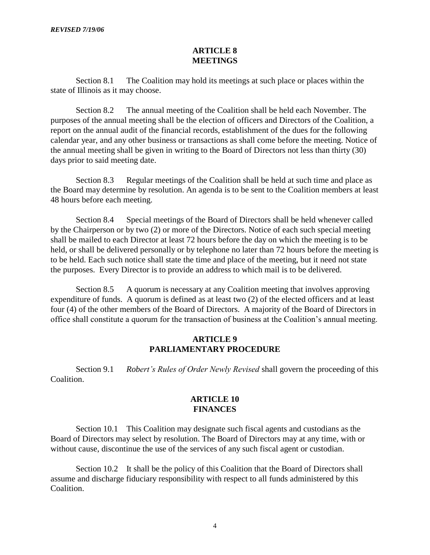#### **ARTICLE 8 MEETINGS**

Section 8.1 The Coalition may hold its meetings at such place or places within the state of Illinois as it may choose.

Section 8.2 The annual meeting of the Coalition shall be held each November. The purposes of the annual meeting shall be the election of officers and Directors of the Coalition, a report on the annual audit of the financial records, establishment of the dues for the following calendar year, and any other business or transactions as shall come before the meeting. Notice of the annual meeting shall be given in writing to the Board of Directors not less than thirty (30) days prior to said meeting date.

Section 8.3 Regular meetings of the Coalition shall be held at such time and place as the Board may determine by resolution. An agenda is to be sent to the Coalition members at least 48 hours before each meeting.

Section 8.4 Special meetings of the Board of Directors shall be held whenever called by the Chairperson or by two (2) or more of the Directors. Notice of each such special meeting shall be mailed to each Director at least 72 hours before the day on which the meeting is to be held, or shall be delivered personally or by telephone no later than 72 hours before the meeting is to be held. Each such notice shall state the time and place of the meeting, but it need not state the purposes. Every Director is to provide an address to which mail is to be delivered.

Section 8.5 A quorum is necessary at any Coalition meeting that involves approving expenditure of funds. A quorum is defined as at least two (2) of the elected officers and at least four (4) of the other members of the Board of Directors. A majority of the Board of Directors in office shall constitute a quorum for the transaction of business at the Coalition's annual meeting.

# **ARTICLE 9 PARLIAMENTARY PROCEDURE**

Section 9.1 *Robert's Rules of Order Newly Revised* shall govern the proceeding of this Coalition.

# **ARTICLE 10 FINANCES**

Section 10.1 This Coalition may designate such fiscal agents and custodians as the Board of Directors may select by resolution. The Board of Directors may at any time, with or without cause, discontinue the use of the services of any such fiscal agent or custodian.

Section 10.2 It shall be the policy of this Coalition that the Board of Directors shall assume and discharge fiduciary responsibility with respect to all funds administered by this Coalition.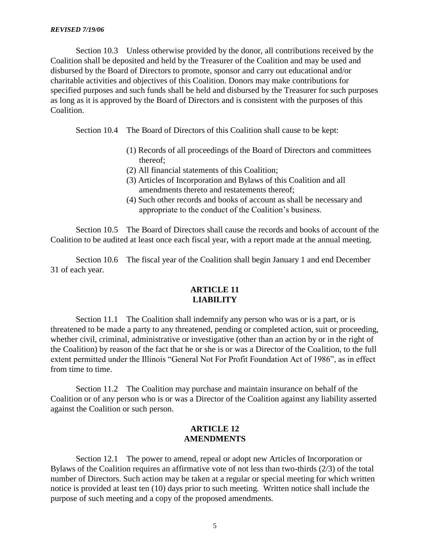Section 10.3 Unless otherwise provided by the donor, all contributions received by the Coalition shall be deposited and held by the Treasurer of the Coalition and may be used and disbursed by the Board of Directors to promote, sponsor and carry out educational and/or charitable activities and objectives of this Coalition. Donors may make contributions for specified purposes and such funds shall be held and disbursed by the Treasurer for such purposes as long as it is approved by the Board of Directors and is consistent with the purposes of this Coalition.

Section 10.4 The Board of Directors of this Coalition shall cause to be kept:

- (1) Records of all proceedings of the Board of Directors and committees thereof;
- (2) All financial statements of this Coalition;
- (3) Articles of Incorporation and Bylaws of this Coalition and all amendments thereto and restatements thereof;
- (4) Such other records and books of account as shall be necessary and appropriate to the conduct of the Coalition's business.

Section 10.5 The Board of Directors shall cause the records and books of account of the Coalition to be audited at least once each fiscal year, with a report made at the annual meeting.

Section 10.6 The fiscal year of the Coalition shall begin January 1 and end December 31 of each year.

# **ARTICLE 11 LIABILITY**

Section 11.1 The Coalition shall indemnify any person who was or is a part, or is threatened to be made a party to any threatened, pending or completed action, suit or proceeding, whether civil, criminal, administrative or investigative (other than an action by or in the right of the Coalition) by reason of the fact that he or she is or was a Director of the Coalition, to the full extent permitted under the Illinois "General Not For Profit Foundation Act of 1986", as in effect from time to time.

Section 11.2 The Coalition may purchase and maintain insurance on behalf of the Coalition or of any person who is or was a Director of the Coalition against any liability asserted against the Coalition or such person.

# **ARTICLE 12 AMENDMENTS**

Section 12.1 The power to amend, repeal or adopt new Articles of Incorporation or Bylaws of the Coalition requires an affirmative vote of not less than two-thirds (2/3) of the total number of Directors. Such action may be taken at a regular or special meeting for which written notice is provided at least ten (10) days prior to such meeting. Written notice shall include the purpose of such meeting and a copy of the proposed amendments.